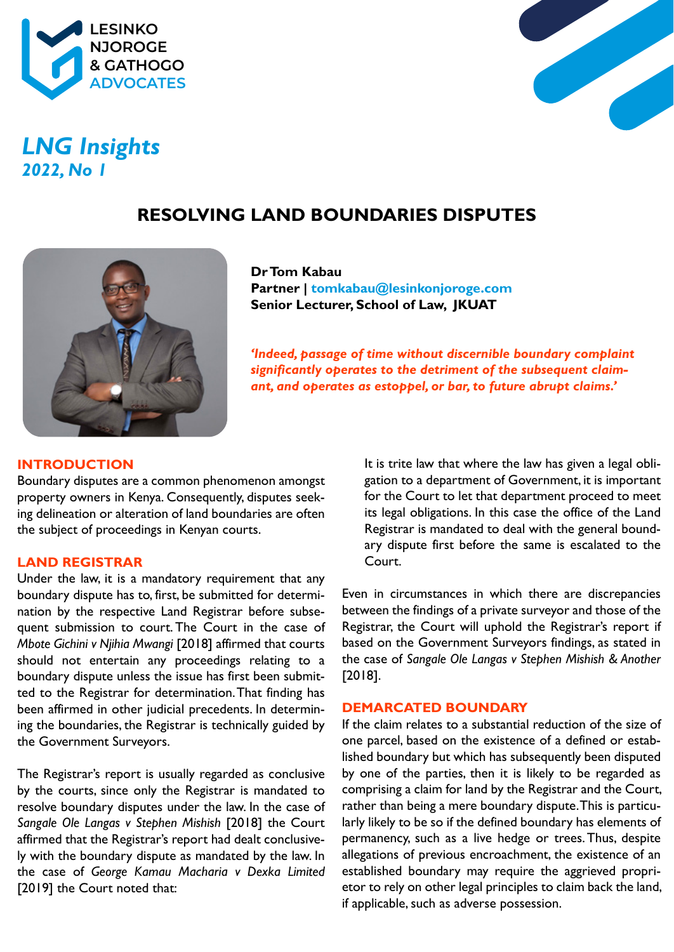



# *LNG Insights 2022, No 1*

# **RESOLVING LAND BOUNDARIES DISPUTES**



**Dr Tom Kabau Partner | tomkabau@lesinkonjoroge.com Senior Lecturer, School of Law, JKUAT**

*'Indeed, passage of time without discernible boundary complaint significantly operates to the detriment of the subsequent claimant, and operates as estoppel, or bar, to future abrupt claims.'*

# **INTRODUCTION**

Boundary disputes are a common phenomenon amongst property owners in Kenya. Consequently, disputes seeking delineation or alteration of land boundaries are often the subject of proceedings in Kenyan courts.

# **LAND REGISTRAR**

Under the law, it is a mandatory requirement that any boundary dispute has to, first, be submitted for determination by the respective Land Registrar before subsequent submission to court. The Court in the case of *Mbote Gichini v Njihia Mwangi* [2018] affirmed that courts should not entertain any proceedings relating to a boundary dispute unless the issue has first been submitted to the Registrar for determination. That finding has been affirmed in other judicial precedents. In determining the boundaries, the Registrar is technically guided by the Government Surveyors.

The Registrar's report is usually regarded as conclusive by the courts, since only the Registrar is mandated to resolve boundary disputes under the law. In the case of *Sangale Ole Langas v Stephen Mishish* [2018] the Court affirmed that the Registrar's report had dealt conclusively with the boundary dispute as mandated by the law. In the case of *George Kamau Macharia v Dexka Limited* [2019] the Court noted that:

It is trite law that where the law has given a legal obligation to a department of Government, it is important for the Court to let that department proceed to meet its legal obligations. In this case the office of the Land Registrar is mandated to deal with the general boundary dispute first before the same is escalated to the Court.

Even in circumstances in which there are discrepancies between the findings of a private surveyor and those of the Registrar, the Court will uphold the Registrar's report if based on the Government Surveyors findings, as stated in the case of *Sangale Ole Langas v Stephen Mishish & Another* [2018].

#### **DEMARCATED BOUNDARY**

If the claim relates to a substantial reduction of the size of one parcel, based on the existence of a defined or established boundary but which has subsequently been disputed by one of the parties, then it is likely to be regarded as comprising a claim for land by the Registrar and the Court, rather than being a mere boundary dispute. This is particularly likely to be so if the defined boundary has elements of permanency, such as a live hedge or trees. Thus, despite allegations of previous encroachment, the existence of an established boundary may require the aggrieved proprietor to rely on other legal principles to claim back the land, if applicable, such as adverse possession.